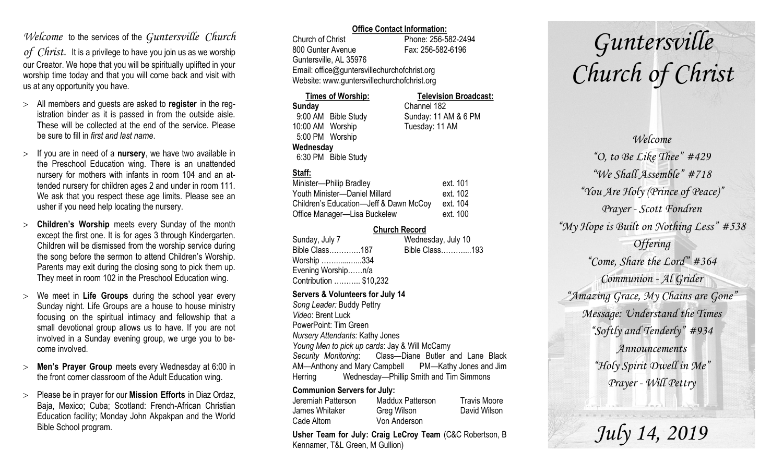## *Welcome* to the services of the *Guntersville Church*

*of Christ*. It is a privilege to have you join us as we worship our Creator. We hope that you will be spiritually uplifted in your worship time today and that you will come back and visit with us at any opportunity you have.

- All members and guests are asked to **register** in the registration binder as it is passed in from the outside aisle. These will be collected at the end of the service. Please be sure to fill in *first and last name*.
- $>$  If you are in need of a **nursery**, we have two available in the Preschool Education wing. There is an unattended nursery for mothers with infants in room 104 and an attended nursery for children ages 2 and under in room 111. We ask that you respect these age limits. Please see an usher if you need help locating the nursery.
- **Children's Worship** meets every Sunday of the month except the first one. It is for ages 3 through Kindergarten. Children will be dismissed from the worship service during the song before the sermon to attend Children's Worship. Parents may exit during the closing song to pick them up. They meet in room 102 in the Preschool Education wing.
- We meet in **Life Groups** during the school year every Sunday night. Life Groups are a house to house ministry focusing on the spiritual intimacy and fellowship that a small devotional group allows us to have. If you are not involved in a Sunday evening group, we urge you to become involved.
- **Men's Prayer Group** meets every Wednesday at 6:00 in the front corner classroom of the Adult Education wing.
- Please be in prayer for our **Mission Efforts** in Diaz Ordaz, Baja, Mexico; Cuba; Scotland: French-African Christian Education facility; Monday John Akpakpan and the World Bible School program.

#### **Office Contact Information:**

Church of Christ Phone: 256-582-2494 800 Gunter Avenue Fax: 256-582-6196 Guntersville, AL 35976 Email: office@guntersvillechurchofchrist.org Website: www.guntersvillechurchofchrist.org

#### **Times of Worship: Television Broadcast: Sunday** Channel 182 9:00 AM Bible Study Sunday: 11 AM & 6 PM 10:00 AM Worship Tuesday: 11 AM 5:00 PM Worship **Wednesday** 6:30 PM Bible Study

### **Staff:**

| Minister-Philip Bradley                | ext. 101 |
|----------------------------------------|----------|
| Youth Minister-Daniel Millard          | ext. 102 |
| Children's Education-Jeff & Dawn McCoy | ext. 104 |
| Office Manager-Lisa Buckelew           | ext. 100 |

#### **Church Record**

| Sunday, July 7         | Wednesday, July 10 |
|------------------------|--------------------|
| Bible Class187         | Bible Class193     |
| Worship 334            |                    |
| Evening Worshipn/a     |                    |
| Contribution  \$10,232 |                    |
|                        |                    |

#### **Servers & Volunteers for July 14**

*Song Leader:* Buddy Pettry *Video*: Brent Luck PowerPoint: Tim Green *Nursery Attendants:* Kathy Jones *Young Men to pick up cards*: Jay & Will McCamy *Security Monitoring*: Class—Diane Butler and Lane Black AM—Anthony and Mary Campbell PM—Kathy Jones and Jim Herring Wednesday—Phillip Smith and Tim Simmons

#### **Communion Servers for July:**

| Jeremiah Patterson | Maddux Patterson | <b>Travis Moore</b> |
|--------------------|------------------|---------------------|
| James Whitaker     | Greg Wilson      | David Wilson        |
| Cade Altom         | Von Anderson     |                     |

**Usher Team for July: Craig LeCroy Team** (C&C Robertson, B Kennamer, T&L Green, M Gullion)

# *Guntersville Church of Christ*

*Welcome "O, to Be Like Thee" #429 "We Shall Assemble" #718 "You Are Holy (Prince of Peace)" Prayer - Scott Fondren "My Hope is Built on Nothing Less" #538 Offering "Come, Share the Lord" #364 Communion - Al Grider "Amazing Grace, My Chains are Gone" Message: Understand the Times "Softly and Tenderly" #934 Announcements "Holy Spirit Dwell in Me" Prayer - Will Pettry*